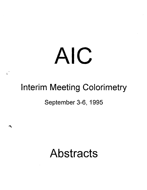# AIC

 $\mathfrak{c}$ 

# Interim Meeting Colorimetry

# September 3-6, 1995

# **Abstracts**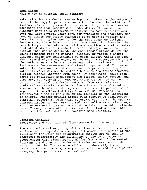# Fred Simon:

What's new in material color standard

Material color standards have an important place in the scheme of color technology to provide a means for checking the validity of instruments, scaling visual estimate, and to provide a transfer mechanism for measurements made under different conditions. Although many color measurement instruments have been improved over the last several years both for precision and accuracy, the need continues for stable standards to be used to verfify the data that are obtained even under the most ideal conditions. Furthermore, there is a continuing requirement for insuring the reliability of the data obtained frome one time to another.Material standards are available for color and appearance characteristics that can be measured. The most common standards are the color standards made as ceramic, plastic, or vetreous enamel plaques. These are complemented by glass filters which are used when transmission measurements can be made. Fluorescent white and chromatic standards have an important role in calibration of instruments for measurement and visual comparison of fluorescent materials. Haze and translucent standards provide scaling for materials which may not be colored but such appearance characteristics closely interact with color. By definition, color standards for reflection measurement are stable, fairly rugged, and cleanable (or renewable). However, there are several caveats in selection of ideal standards. Matte surface materials are preferred as transfer standards. Since the surface of a matte standard can be altered during continues use, its protection is important to maintain fidelity. A holder that recesses the measurement plane slightly below the mounting on the instrument is helpful. Another problem arises with respect to translucent blurring, especially with white reference materials. The spectral characteristics of most orange, red, and yellow materials change with temperature so precautions must be taken to avoid unreliable data. These problems will be discussed to illustrate possible solutions that make material standards more reliable.

Dietrich Gundlach:

Excitation and weighting of fluorescence in colorimetry

The excitation and weighting of the fluorescence of a luminescent surface colour depends on the spectral power distribution of the illuminant for which the colorimetric results are wanted. In practical colorimetriy the illuminant of the colorimeter or spectrometer will significantly differ from that of the wanted illuminant and over - or under excitation and over - or under weighting of the fluorescence will occur. Generally these deviations cannot be completely corrected minimized. A recipe for managing this problem will be discussed.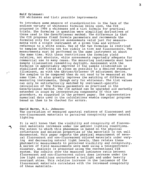# Rolf Griesser:

 $\cdot$   $\sim$ 

CIE whiteness and tint: possible improvements

To introduce some measure of standardization in the face of the endless variety of whiteness formulas being used, the CIE proposed in 1986 a whiteness and a tint formula for practical trials. The formulas in question were simplified derivatives of those used in the Ganz/Griesser method. The difference is that the CIE proposes fixed formula parameters and recommends the formulas only for relative assessments valid just for measurements with a single instrument at a given time and without reference to a white scale. Use of the two formulas is restriced to samples differing not too widely in tint and fluorescence. The measurements must be performed on the same instrument at about the same time. With these restrictions the formulas yield relative, not absolute, white assessments reportedly adequate for commercial use in many cases. The measuring instruments must have sample illumination resembling daylight. Assessment with the formulas is appreciably improved if the sample illumination is stabilized and fitted as close as possible to a desired standard illuminant, as with the Gärtner/Griesser UV adjustment device. The samples to be compared then do not need to be measured at the same time. It also greatly improves the matching of different measuring instruments, though only for whiteness. The tint values can only be satisfactorily matched by instrument-specific calculation of the formula parameters as practised in the Ganz/Griesser method. The CIE method can be upgraded and markedly extended in scope by incorporating components of this new procedure, as suggested in the present paper. The representative numerical data used in the calculations enable computer programs based on them to be checked for errors.

# David Burns, N.L. Johnson:

The correlation of measured spectral radiance of fluorescent and non-fluorescent materials to perceived conspicuity under natural lighting

It is well known that the visibility and conspicuity of fluorescent materials increases under low ambient lighting conditions. The extent to which this phenomena is based on the physical reflectance and emission properties of the materials is not well documented. This paper reports the physical measurement of several fluorescent and non-fluorescent colored materials under vary-<br>ing and decreasing natural light levels, then relates these and decreasing natural light levels, then relates these photometric measurements to perceived visibility and conspicuity. A series of field measurements were made using a telespectroradiometer. Analysis is presented using the conventional CIE system. The results show the measured luminance ratio between fluorescent and non-fluorescent colors does increase under the low light conditions encountered a twilight and under heavily overcast skies. This relative increase in the luminance of the f luorescent materials correlates with the increased conspicuity of these materials.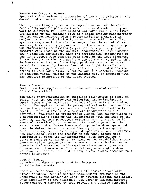# Ramsey Saunders, R. DeFour:

Spectral and colorimetric properties of the light emitted by the dorsal bioluminescent organs by Phyroporus pellucens

The light-emitting organs on the top of the head of the click beetle (Phyrophorus pellucens) were stimulated mechanically as well as electrically. Light emitted was taken via a glass-fibre transformer to the entrance slit of a Zeiss grating monochromator and the output measured with a photomultiplier (RCA4832) in conjunction with a digital multimeter. The RCA4832 has a flat spectral response in the visible range, thus the output at each wavelength is directly proportional to the source (organ) output. The chromaticity coordinates  $(x,y,z)$  of the light output were compared with those of the spectral absorption of leaf pigments using standard techniques. When the chromaticity coordinates of the light output were compared with those of the leaf pigments, it was found they lie on opposite sides of the white point. This indicates that little of the light produced by this nocturnal animal is absorbed by leaves. Most of the light is reflected. This in turn suggests that light emitted by the bioluminescing organs is used for vision. In future work the spectral response of isolated visual neurons of the anmimal will be compared with the spectral properties of the light emitted.

## Thomas Kremer:

Deuteranomalous opponent color vision under consideration of the Abney-effect

The usual characterisation of anomalous trichromats is based on colour matches. The perceptual criterion 'indistinguishably equal' reveals the qualities of colour vision only to a limited extent. The application of the perceptual criteria 'neither blue nor yellow', 'neither green nor red' and 'heterochromatically equally bright' allows a more complete description of the perceptual qualities of trichromatic vision. The colour vision of a deuteranomalous observer was investigated with the help of the above mentioned four perceptual criteria using a visual Guild-Bechstein tristimulus colorimeter. The results permitted the establishment of a three-dimensional opponent-colour space and thus the definition of transformation equations from spectral colour matching functions to opponent spectral colour functions. Nonlinearities within the meaning of the Abney effect were considered by piecewise linearisations, each applied for a certain range of wavelengths. By means of the established special deuteranomalous opponent-colour space a colour stimulus can be characterized according to blue-yellow chrominance, green-red chrominance and luminance. Middle and long wavelength colour matching function are shifted to longer wavelengths compared to a normal trichromat.

Jack A. Ladson: Colorimetric data comparison of bench-top and portable instruments

Users of color measuring instruments all desire essentially almost identical results whether measurements are made in the laboratory or the production line, or between distant facilities. This capability is now available. BYK-Gardner USA manufactures color measuring instruments that provide the desired reproduci-

 $\mathcal{C}$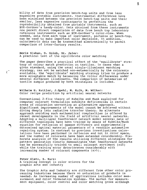bility of data from precision bench-top units and from less expensive protable instruments. Instrumental differences have been minimized between the precision bench-top units and their smaller, less expensive counterparts by perfecting the reproducibility obtained from portable instruments, such as BYK-Gardner's handy-color. Data obtained from these instruments now permit direct comparision of data from bench top laboratory reference instruments such as BYK-Gardner's color-view. When needed, data from each type of instrument, portable or bench-top, can be used to make important color decisions. In addition, colorimetric data can be transmitted electronically to permit comparison of inter-factory results.

Boris Sluban, D. Golob, St. Jeler: A practical test of the equilibrate color matching

 $\mathfrak{c}$ <sup>-</sup>

The paper describes a practical effect of the "equilibrate" strategy of colour match prediction on textiles. In cases when a given standard, using the usual single-illuminant matching strategy, can not be matched non-metamerically by the colorants available, the "equilibrate" matching strategy tries to produce a more acceptable match by balancing the colour differences under several different illuminants. The compariosn of metamerism of textile sample produced by both strategies is included.

Wilhelm H. Kettler, J.Spehl, M. Kolk, M. Wölker: Color recipe prediction by artificial neural networks

Conventional 2-flux theory of Kubelka and Munk exploited for computer colorant formulation exhibits deficiencies in certain areas of coloration warranting an alternative approach. Significant improvements of the model cannot be achieved without diving deeply into radiative transfer theory. An alternate approach avoiding such mathematical complexities is offered by recent developments in the field of artificial neural networks. Adopting a multilayer feedforward network model several nets of different topologies have been trained by means of Kubelka/Munk equation for reflexion of opaque diffusers and experimentally determined optical material parameters of a vendible automotive repairing system. In contrast to previous investigations calculations have been performed in reflexion and not in color space, and the number of colorants have been extended considerably. Elaborate analysis of the results utilizing different strategies for pattern generation clearly demonstrates that feedforward networks can be successfully trained to small colorant sortiment  $(n \leq 5)$ while the training error deteriorates considerably with increasing number of colorant components (n>S).

Peter Glatz, S. Kurz: A training concept in color science for the graphic arts and industry

The Graphie Arts and Industry are different from other color processing industries because there no saturation of products is needed. An increasing number of applications includes color measurement and color formulation systems. The market for measurement equipment, color control and color matching grows although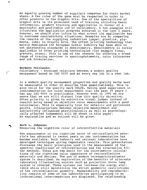an equally growing number of suppliers eompetes for their market share. A few rules of the game must be respected in order to offer products to the Graphic Arts. One of the specialities of Graphie Arts is its prominent need of training ineluding basie information, produet training and applieation in favour of a meaningful and profitable use of colorimetry. A few examples will illustrate the application progress achieved in the last 5 years. However, we should also inform to what extent the application has to overcome contradictory situations. Examples are by comparing the results of the supplying industries (paper, plastics, pigments, inks) to Graphic Arts. The offset printing technology that mainly dominated the European Grahie Industry has been able to set outstanding standards in densitometry. Densitometry is rarely applicable to other printing technologies (for example flexo, gravure, sreen). This is one of the reasons for offering a broad range of traning services in spectrophotometry, color tolerances and ink formulation.

# Hermann Pelshenke:

Colorimetry - strained relations between a modern quality management based on ISO 9000 and an every day job in a test lab.

In a modern quality management properties and quality marks must be measurable in order to describe them quantitatively. This is also valid for the quality mark COLOR. Having good experience in instrumentation for color measurement over the past 20 years I can say ISO 9000 is practicable. However even in 1995 we are aware that we are still distant from this quality objective. Often priority is given to subjective visual judges instead of results being based on objective color measurements with a good colorimeter. This is especially true for metallic and perlescent paints. Interacterions between objective measurement and subjectively influenced physiologically as well as psychologically affected judgements will be shown in this paper. An explanation and an outlook will be given.

# Norb L. Johnson:

Measuring the nighttime color of retroreflective materials

The measurement of the nighttime color of retroreflective materials has advanced in recent years as new instrumentation has become available. Both industry and national laboratories have developed techniques giving repeatable results. This presentation discusses the basic principles used in the measurement of the spectral coefficient of retroreflection and the alternative filter methods. These are the basis for the eolorimetric calculations of the nighttime color appearance of retroreflective materials and devices. The use of modern telespectroradiomter system is described. An exploration of the benefits of alternate laboratory illuminating sources such as projection Xenon lamp system is covered. These systems can increase the energy available while still maintaining the strict geometric restrictions of the retroreflection geometry. Repeatability and reproducibility results of some of the laboratories participating in an international intercomparison are displayed. The relationship

*(*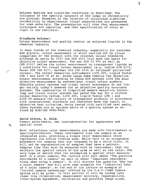between daytime and nighttime conditions is described. The inf luence of the spectral outpsuts of HID lamps on chromaticity are plotted. Examples of the relation of calculated nighttime chromaticity to experimental visual observations are presented for some materials. The presentation will show that measurement techniques are improving and that specification of color at night is now realistic.

# Friedhelm Brücker:

 $\cdot$   $\overline{\cdot}$ 

Colour measurement and quality control on coloured liquids in the chemical industry

In many fields of the chemical industry, especially for tensides and glycols, colour assessment is still carried out by visual comparison of the product with the relevant colour standards although as early as 1931 the DIN 5033 laid down the basis for objective colour measurment. The new DIN 53 995 as well as CEN 61557 define the colour measurement on transparent liquids as a substitute for visual colour measurement (e.g. Iodine DIN 6172, Hazen DIN ISO 6271, Gardner DIN ISO 4630 or Lovibond<sup>R</sup>-yellow/red values). The colour measuring instruments LICO 200, Liquid Tester LTM 1 and LICO 50 of Dr. Bruno Lange GmbH combine the objective colour measurement according to these DIN methods with the also objective measurement by conventional visual colour numbers. Obsolete colour systems and visual colour assessment do not longer satisfy today's demands for an objective quality assurance systems. The combination of simplified modern measuring technology and visual colour systems has paved the way for a uniform colour measuring system. LICO 200, Liquid Tester LTM 1 and LICO 50 measure the colours of transparent products in accordance with international standards and therefore make the result an objective test criterium. Being tested with certified test media, these systems are an optimum basis of a quality system as defined by DIN/ISO 9000-9004.

# David Alston, R. Feld:

Camera colorimetry, new instrumentation for appearance and spatial color

Most reflectance color measurements are made with Colorimeters or Spectrophotometers. These instruments view the sample as an integrated area, providing a single color measurement which represents the entire viewing area. While this is an acceptable procedure for samples that are intended to be a solid color, it will not be representative of samples that have a pattern. Samples like that must be measured with an Instrument, that can maintain the spatial nature of the area as well as the color. The only type of device that can accomplish a spatial color measurement is a color camera. The lecture will tell about "The positive attributes of a camera" as well as about "Important considerations when using a camera". It will discuss the question "Why use a color camera" and will give some examples for "Industrial uses of a color camera". At the end of the lecture an example of "Current camera technology" offered by the C.A.T./CAMS Camera System will be given. In this section it will be looked into items like illumination, measurement accuracy, repeatability, inter-system agreement, calibration and possible image sizes.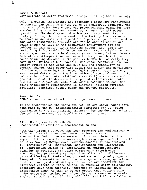# James T. DeGroff: Developments in color instrument design utilizing LED technology

Color measuring instruments are becoming a necessary requirement to control the color of a wide range of industrial products. The high cost of color instruments has prevented many companies from standardizing on color instruments as a gauge for all color operations. The development of a low cost instrument that is truly portable, that can be used on the factory floor as an aid to start up and monitor the production process, gather color data for later statistical analysis and yet be cost effective and tough enough to live in the production environment ist the subject of this paper. Light Emitting Diodes (LED) are a low cost, long life, stable light source which are available in the visual spectrum in wide band ranges (Blue, Green, Yellow, Orange, Red, etc.). Attempts have been made to design and build practical color measuring devices in the past with LED, but normally they have been limited to the Orange or Red range because of the low energy output of the Green and Blue LED and instability to thermal change. This paper will detail the design and development of a low cost practical LED based full spectral color analyzer and present data showing the integration of spectral sampling to calculation of accurate tristimulus (X, Y, Z) simulations and presentation of the device with output of colorimetric data results in a rugged portable instruments suitable to meet the color measurement requirements in plastics, painted surfaced materials, textiles, foods, paper and printed materials.

# Tasso Bäurle:

DIN-Standardization of metallic and perlescent colors

In the presentation the tests and results are shown, which have been made by the DIN standardization committee FNF 24 "color tolerances in the car-painting industry" for the determination of the color tolerances for metallic and pearl colors.

Allan Rodriguez, L. Steenhoek:<br>Measurement of metallic & pearlescent colors

ASTM Task Group E-12.03.02 has been studying the goniochromatic effects of metallic and pearlescent colors in order to standardize their color measurement. This is a brief status report of thas committee's work, emphasizing experimental results to-date. Working Groups cover various aspects of the problem: (1) Terminology (2) Instrument Specification and Calibration (3) Pearlescent Colors (4) Experiments on goniophotometric behavior of metallics (5) Color Tolerancing Experiments. The group has prepared a variety of metallic color dif ference pairs differing in flake size, pigment content, panel preparation, etc. Observations under a wide range of viewing geometries have been analyzed indicating which angles are important for different effects in these colors. In studying color tolerancing, observers have made pass/fail judgments an increasing color differences shown to them in random order. Observations were under customary viewing conditions through a range of aspecular angles, as well as at  $15^{\circ}$ ,  $25^{\circ}$ ,  $45^{\circ}$ ,  $70^{\circ}$ , and  $110^{\circ}$ , available in

*r*  '

'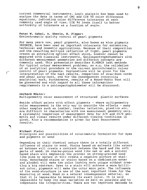current commercial instruments. Logit analysis has been used to analyze the data in terms of CMC and CIE 94 color difference equations, indicating color difference tolerances at each commonly used angle of view. CIE 94 lends itself to better uniformity of tolerance as a function of angle.

# Peter w. Gabel, A. Eberle, H. Pieper: Goniochromatic quality control of pearl pigments

For many years now, pearl pigments, also known as mica pigments IRIODIN, have been used as important colourants for automotive, technical and cosmetic applications. Because of their composition and the resulting multiple reflection of light, pearl pigments create an attractive optical effect which, however cannot be measured with classical instruments. Goniospectrophotometers with different measurement geometries and different concepts are commonly used. This presentatin describes E.MERCK test methods for typical colour measurement problems, as e.g. the validation of an analytical procedure or the current goniochromatic colour control of pearl pigments. Explanations will be given for the interpretation of the test results, comparison of draw-down cards and panel spray-outs, and for the consequences concerning analytical work. Furthermore, results of a Round-Robin Test will be presented and with regard to all these informations requirements to a goniospectophotometer will be discussed.

Gerhard Rösler: Multigeometry color measurement of structured plastic surfaces

Beside effect paints with effect pigments - where multigeometry color measurement is the only way to describe the effects - many other samples such as leather, leather imitation, plastics etc. are difficult to characterize with one measurement geometry only. A systematic comparison of measurement data for d/8 and 45/0 geometry and visual results under different viewing conditions is given. Also a recommendation is given for best measurement results.

## Michael Stein:

 $\cdot$ 

Principles and possibilities of colorimetric formulation for dyes and pigments on wood

Depending on their chemical nature there is a totally different influence of stains to wood. Stains based on solvents like esters or ketones will create a contrast between the hard and the soft parts of wood. On coarse-porous wood like oak or ash a solvent based stain will emphasize the prores: on strong-grained wood like pine or spruce it will create a negative picture of staining. Waterbased stains or stains based on a combination water and alcohol will make the color looking more unique without creating a big contrast. Dyes in a stain will achieve a more brilliant color, pigments will make the color more pale. The influence of the wood-structure is one of the most important items for the measuring of wood. Wood is a natural inhomogeneous material, so that it is impossible to measure its exact color. It is only impossible to keep its mean variation as mall as possible and to compensate the irregularities. There are two important methods to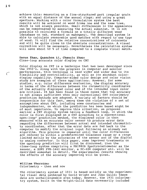achieve this: measuring on a fine-structured part (regular grain with an equal distance of the annual rings) and using a great aperture. Working with a color formulation system the best results will be achieved on wood frome one and the same tree, which is not always possible. Small differences in the appearance can be compensated by measuring the actual substrat. It is not possible to calculate a formula on a totally different wood (database on oak, standard on mahogany). The described system is able to calculate reasonable good matches with regard to one type of wood. It will find the relative concentrations of colorants and will be quite close to the absolute concentrations. A visual correction will be necessary. Nevertheless the calculation system will save about 60 % of time compared to a complete visual match.

# Dazun Zhao, Quanchen Li, Changlu Zhao: Close-loop accurate color display on CRT

Color display on CRT is a technique that has been developed since the 1950's. Along with the progress in computer and monitor performances, this technique is used wider and wider due to its flexibility and controllability, as well as its abundunt colordisplay capability. Computer-aided color design and color vision study are examples of these applications. However, for some studies, e.g. color difference evaluation, the display accuracy in terms of the differences between the chromaticity coordinates of the actually displayed color and of the intended input color are critical. It has been found in those cases that the accuracy is not always sufficient when only conventional CRT colorimetry prediction methods are adopted. A variety of factors should be responsible for this fact, among them the violation of a set of assumptions about CRT, including some constancies and independencies, an which the prediction has been based might be of most importance. To improve this situation, we proposed earlier a CRT display system having a feedback loop, in which the color is first displayed on a CRT according to a conventional open-loop" prediction method, the displayed color is then measured with an accurate color sensor to produce error data regarding the differences between actual and intended chromaticity coordinates, after that the error data are fed back to the computer to modify the original input following an already set algorithm. This process is repeated until the color differences are reduced to within a predetermined tolerance range or a range limited mainly by the accuracies of the sensor and of the digital to analog convertor. In this paper, some improved treatments on the openloop prediction will first be discussed, then the close-loop system comprising a PR1980B Spectroradiometer as the sensor, a SONY PVM-1442 monitor, a PC-486 computer etc. will be described somewhat in detail. The experimental results showing the effects of the accuracy improving will be given.

William Thornton: Colorimetry - then and now

The colorimetry system of 1931 is based solidly on the experimental visual data gathered by David Wright and John Guild; these data are unchallengeable even today. However, the 1931 colorimetry system, built on the Wright-Guild data necessarily included

 $\mathcal{C}$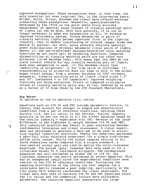unproved assumptions. These assumptions were, at that time, not only essential but even inspired. Yet, in the intervening years, Wright, Guild, Stiles, MacAdam and others have offered warnings concerning these assumptions. Meanwhile, spectroradiometry developed by the 1970s to the point where truly accurate measurement of spectral power content of visually matchingt pairs of lights can now be done. With this accuracy, it is now no longer necessary to make any assumptions at all, in forming an improved colorimetry system. Strong metamerism in pairs of visually matching lights became important first in the lighting industry, then in modern transforming of colored images frome one medium to another. Our work, using accurate absolute spectral power distributions of strongly metameric visual pairs of lights, shows: (1) the now-traditional maximum-saturation color matching functions da not serve well as weighting functions. Computed chromaticities of visually matching pairs are too often very different (10-60 MacAdam jnds). This means that the CMFs do not yield correct results for any visually matching pair of lights, even when metamerism is weak. (2) The MacAdam result that "additivity of brightness" is far from valid is confirmed. (3) Transformability of primaries does not seem to hold in the normal human visual system. From a present database of 2000 strongly metameric, visually matching pairs of lights (field sizes 1.3° and  $10^{\circ}$ , luminances 4 to 100 candela/m<sup>2</sup>) improved weighting functions are being extracted. Errors in computed tristimulus values of visually matching pairs are, so far, reduced by as much as a factor of 20 from those by the CIE Standard Oberservers.

# **Roy** Berns: To optimize or not to optimize  $(l:c)$  ratios

 $\epsilon$ 

Equations such as CIE 94 and CMC inlcude parametric factors, in theory, that account for changes in sample and observational conditions from a set of reference conditions. Defining these factors (i.E. the l:c ratio) is not obvious. Typical industry practice is to set the ratio to 2:1 for either equation based on the textile industry's experience with CMC. Because of the large difference in the lightness  $S_L$  weight between CIE 94 and CMS, this industrial practice may result in poor correlation between instrumental tolerances and visual assessment. A visual experiment was performed to generate a data set to be used in evaluating typical industrial practices. Twenty two observers performed a pass-fail color tolerance experiment for a single high-chroma yellow color center. Thirty two glossy samples varying in all three dimensions werde compared with a single standard. A near-neutral anchor pair was used to define the color-tolerance magnitude. The pooled "pass" response data were used to fit a trivariate normal 95 % conf idence ellipsoid. The chromatiness dimension was well estimated by either CMC or CIE 94. The lightness dimension was poorly estimated by either equation. This was an unexpected result since the experimental conditions were similar to the CIE 94 reference conditions. Evaluating the sampling distribution of the thirty two test samples via a covariance matrix revealed a poor sampling, particularly in the L\*b\* plane This sampling confounded the visual experiment. The visual data were used to optimzhe CIE 94 and CMC equations where the l:c ration and the commercial factors were adjustable parameters. The resulting equations demonstrate the large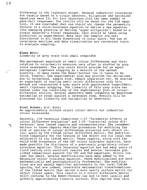difference in the lightness weight. Because industrial tolerances are usually based on a single observer, ellipsoids and optimized equations were fit for four observers with the same number of pass-fail responses. The results will be shown for the CIE equation. It was concluded that one should not change the parametric factors in a color-tolerance equation or derive a new equation (the emerging practice of derving "super ellipsoids") based on a single observer's visual responses. Care should be taken using historical or experimental data that the samples are well distributed in all three dimensions in color space. The use of covariance matrices and data visualization are convenient tools to evaluate sampling.

# **Klaus Witt:**  Linearity of grey scale with small stepwidth

The perceptual magnitude of small colour differences and their relation to colorimetric measures very often is studied by grey scale assessment. The grey scale should provide for an equal perceptual lightness stepping as a measure of the wanted quantity. In many cases the Weber-Fechner law is taken to be valid, however, the experimental plan may provide for deviations due to background, sample size, sample separation etc. We started an experiment of scaling small colour differences with this method and constructed a grey scale with approximate logarithmic, small lightness stepping. The linearity of this grey scale was tested under the conditions of the experimental plan of colourdifference scaling. Several observers made judgments by magnitude estimation of steps against a reference step. Results will be discussed for linearity and variability of observers.

# Ernst Rohner, D.C. Rich:

An approximately uniform object colour metric for industrial colour tolerances

Recently, CIE Technical Committees 1-27 "Parametric effects in colour difference evaluation" and 1-29 "Industrial colour differences" have issued reports and recommendations. The recommendations in these reports describe procedures for modifying the size or spacing of colour differences projected onto object colour space by the CIELAB colour difference metric. The modifications compensate for the texture of the object and for local nonuniformity of the CIELAB metric. These reports, along with the world wide acceptance of the CMC colour tolerance equation, have made possible the disclosure of a previously proprietary colour tolerance equation. This Datacolor equation has had many years of field testing with excellent results and several favorable published comparisons against the CMC and M&S equations. Within the last two years, several modifications have been added to the Datacolor colour tolerance equation. These modifications are both mathematically and psychophysically fundamental. The modifications are not merely empirical adjustments to the local CIELAB spacing, but are indeed, reversible mathematical transformations of the CIELAB metric that derive a more nearly uniform metric for object colour space. This results in a colour difference metric which conforms to the Weber-Fechner law and is both locally and globally approximately visually uniform. This implies that this

 $\int_0^1$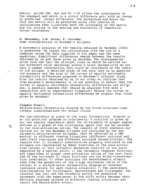metric, unlike CMC, M&S and TC 1-29 allows the interchance of the standard and batch in a colour difference pair with no change in predicted colour difference. The background and basis for this new metric will be presented along with results of calculations that illustrate both the uniformity of the metric and its utility in the setting and evaluation of industrial colour tolerances.

# E. Bernabeu, J.M. Zoido, F. Carreno: Some considerations on MacAdam's ellipses

A systematic analysis of the results obtained by MacAdam (1942) is presented. We repeat the calculations with the aid of a computer using the data supplied in his paper and the same equations. Significant differences emerge between the results obtained by us and those given by MacAdam. The discrepancies arise from the fact the straight lines on which he carried out the different color matchings around a given chromaticity do not have a common intersection that could be considered as the center of the ellipse. A detailed study of the data lead us to question the geometry and the size of the curves of equally noticeable chromaticity differences proposed in MacAdam's original study. From the results obtained by us in our study we conclude that from MacAdam's measurements it is not possible to deduce that the curves of equally noticeable chromaticity dif ferences are ellipses. A question emerges that should be analysed from both a theoretical and an experimental viewpoint: should the curves of equally noticeable chromaticity differences be greater than those given by MacAdam?

Claudia Oleari: Uniform-scale chromaticity diagram by von Kries-invariant-logarithmic transformations for foveal vision

The non-unformity of scale in the usual chromaticity diagram is an old practical problem in colorimetry. A solution is given by our new angular hypothesis about the co-tangents of proper angles defined on a plane of the tristimulus space that can be related to the cone-activation ratios. The results of first analysis our carried out on the MacAdam ellipses are confirmed by the new chromatic-discrimination ellipses, that we obtained by a CRT monitor in different viewing situations (different surround and test-field luminances and different surround chromaticities). The results are: 1) chromatic uncertainties properly evaluated on the ellipses are represented by Weber fractions of the cone-activation ratios; 2) each chromatic mechanism consists of two parts separated by a neutral point; 3) the chromatic response functions are logarithms of proper cone-activation ratios of the test field and of the surround; 4) these functions are von Kries-transformation invariants; 5) these functions for monochromatic stimuli seem like the potentials of the C-type horizontal cells of the retina; 6) a uniform-scale chromaticity diagram at constant luminance exists for each viewing situation; 7) the wavelength discrimination for trichromats, deuteranopes and tritanopes, the constant hue loci and the chromatic purity are predicted in agreement with the experience; 8) hue shift exists between chromaticity diagrams related to different viewing situations and recall the Bezold-Brück effect.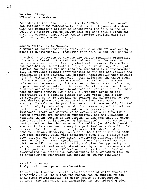According to the colour law in itself, "WYZ-Colour Storehause" can distinctly and methodically hold 3 060 300 pieces of colour with the computer's ability of identifying the colours accurately. The numeric data of colour cell for each colour block can give the colours composition, which provide detailed data for colorimetry and computerization.

# Jochen Antkowiak, L. Grambow:

A method of color renderings optimization of CRT-TV monitors by means of electronically generated test colours and test pictures

A method is presented to measure the colour rendering properties of monitors based on the EBU test colours. Thus the same test colours are used as for testing electronic cameras. This offers the possibility to evaluate the quality of rendering. The input signals for testing the monitors are generated by a programmable TSG. It provides signals corresponding to the defined colours and luminances of the original EBU colours. Additionally test colours of 10 % luminance are generated. After adjusting the white areas of the monitors to be tested according to D65 within narrow tolerances the measuring of the screen colours is carried out by a precision colour meter in darkness. Switchable combined test pictures are used to adjust brightness and contrast of CRT. These test pictures contain 100 % and 2 % luminance areas on the left/right of the picture middle (or vice versa) and a black surrounding. So it is possible to control the adjustment at the same defined place on the screen with a luminance meter exactly. To enlarge the peak luminance, up to now usually limited to 80 cd/m2 , by retaining a good colour rendering additional test pictures were created for estimating the permissible peak luminance. Therefore centred white areas with a 10 % to 100 % screen coverage are generated successively and the luminance is measured in the centre of the screen. If the luminance is chosen above the limit it is decreasing impermissibly in the consecutive test procedure. For the instance of a well adjustable high-end monitor it is shown how to vary the peak luminance from 60 cd/m2 to 225 cd/m<sup>2</sup>, to find out the optimum at 180 cd/m<sup>2</sup>, and to achieve a Colour Rendering Index of 90 both for bright and dark EBU test colours. Using this adjustment both a 10 % colour bars test picture and a 50 step linear perception staircase signal picture give a correct reproduction. These last mentioned test pictures exhibit a high criticality and give the opponunity to percept unexact monitor adjustment just by subjective assessment of the pictures on the CRT screen. Finally, the influence of mismatching the brightness corresponding to a gradation failure is investigated concerning the decline of colour rendering.

# Patrick G. Herzog: Analytical color space transformations

An analytical method for the transformation of color spaces is presented. It is shown that the method can be applied to the analytical representation of color gamuts of reproduction devices. The analytical transformation has the following advan-

 $\mathcal{C}$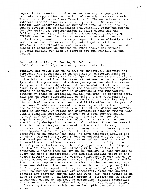tages: 1. Representation of edges and corners is especially accurate in opposition to traditional methods like Fast Fourier Transform or Karhunen Loéve Transform. 2. The method contains an inherent interpolation as it is analytical. 3. No numerical methods like interpolation or inversion have to be applied, so output devices can be calibrated analytically. Using the method for the analytical representation of color gamuts has the following advantages: 1. Any of the known color spaces (e.g. CIELAB) can be used for the representation of color gamuts. 2. As the representation is very compact it is excellently suited for storage and transmission of gamuts together with color images. 3. No mathematical case discrimination between adjacent planes is necessary as opposed to other analytical methods. 4. Gamut mapping can also be carried out analytically in the future.

# **Raimondo Schettini, B. Barolo, E. Boldrin:**  Cross media color reproduction by neural networks

**j** 

Ideally, one would like to be able to objectively quantify and reproduce the appearance of an original on different media or devices. Unfortunatley, our knowledge of the mechanisms of vision and models derived from them have not yet enabled us to completely master the phenomenon of colour perception and deal successfully with all the subjective and environmental factors influencing it. A practical approach to the accurate rendering of colour images on displays, integrating colorimetric and interactive methods by means of artificial neural networks, is proposed here. This method could substantially benefit CAD and multimedia systems by offering an accurate cross-media colour matching requiring minimal low cost equipment, and little effort on the part of the user. To obtain cross-media colour reproduction the devices are calibrated colorimetrically and the CIELAB colour appearance model is adopted. We relate non-colorimetric scanner outputs with CIELAB standard coordinates by mean of a feed-forward neural network trained by back-propagation. The training set the algorithm uses is the ANSI IT8 colour target as this has been specifically designed for scanner calibration. Since the context in which colour images are viewed on the monitor is very different from the context in which originals are normally seen, this approach does not garantee that the colours will be perceived to be exactly the same. We have therefore applied the original Kanamori and Kotera's idea on selective colour editing and developed of a soft colour cluster editor based on visual interaction which allows the user to correct or modify, in a friendly and effective way, the image appearance on the display until a satisfactory visual matching with the original is obtained. A second feed-forward neural network is then trained to learn the user's corrections. The implicit mapping coded in the neural network is applied to correct subsequent colour images to be reproduced on the screen. The user is still allowed to modify the colours proposed: when a significant number of new mappings have been defined, the user can re-run the learning phase (this last step can be repeated during the image acquisition phase until no further corrections are necessary). Among the several factors not provided for to date and with which this method is be able to cope are: 1. calibration erros; 2. differences in colour appearance caused by the mode of perception, surface properties, the observer's state of adaptation, etc.; 3. subjective factors influencing the match which can not be explicitly taken into account.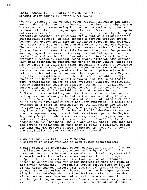Paola Campadelli, F. Castiglioni, R. Schettini: Nominal color coding by Hopfield net works

The experimental evidence that color greatly increases the observer's understanding of the information contained in a picture and his capacity for remembering it, has led to assigning color a fundamental role in conveying qualitative information in graphical environment. Nominal color coding is widely used by the image processing community to represent the output of a classificationsegmentation process. In this contest a serious problem arises because the chosen color must be displayed together and assigned to classes composed of regions of different size and morphology. The user must take into account the characteristics of the image (the number of classes, the links between them, and the geometric and topological features of the regions that belong to the different classes) so that the association of classes with colors produces a readable, pleasant coded image. Although some systems have been proposed to support the user in color coding, these are mainly based on a trial-and-error approach and demand a concerted effort on the part of the user. In order to automate color-class association we have proposed a suitable description scheme for both the color set to be used and the image to be coded. Exploiting this description we have then def ined a suitable energy function for Hopfield's neural networks. The aim is to assign more "conspicuous" colors to less "visible" classes, attributing highly contrasting colors to classes with an high "adjacency". We assume that the image to be coded contains N classes, that each class is composed of a variable number of regions having different characteristics, and that the color set to be used in coding has been already selected by the user according to some criteria. Since the lightest and most highly saturated area of a color display immediately draws the user attention, we define the evidence of a color as combination of its lightness and chroma. An automatic evaluation of the image to be coded obviously requires a description of the images itself. The data structure used to represent regions and their relationships is the Region Adjacency Graph, in which each node represents a region, and two noded are description of the region (relative area, perimeter, compactness and thickness) and a class label, while with each arc the degree of adjacency of that pair of regions (relative perimeter that the two regions share). Experimental results to confirm the feasibility of the method will be presented.

# Thomas Keusen, B. Hill, F.w. Vorhagen: A solution to color problems in open system architectures

A main problem of electronic color reproduction is that of color equalization between the reproduced and original colors of a document. Basic problems of todays electronik color systems with three-channel color analyis in scanners are the following:<br>- Spectral characteristics of the light source of a scanner cannot be seperated from the color analysis so that the results are device-dependent. - Systematic errors result from deviations of the three-channel filters from theoretical spectral matching curves. Error reduction by subsequent electronic signal processing is document-dependent. - Practical sensitivity curves deviate more or less from each other and from one scanner to another producing unkwown errors. Even if the sensitivity curves are correct, the anlalysis is only true for the standard obser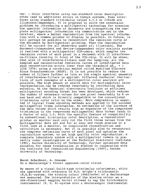ver. - Color interfaces using non-standard color description often lead to additional errors in todays systems. Even interfaces using standard tristimulus values X,Y,Z or CIELAB are illuminant-dependent. lt is proposed to solve the essentaial problems by introducing a multispectral technology for scanning the spectral information of documents and transporting the complete multispectral information via communication net to the receiver, where a better reproduction from the spectral information with a common printer or display is possible. In future, it will perhaps be possible to reconstruct the remission curve of the document by multispectral printing. Then the reproduction will be correct for all observers under all illuminant. The document-independent and device-independent color analysis system is realized with a multispectral CCD-cmera, which samples the remission curves of each pixel in a document with 12 interference-filters rotating in front of the CCD-chip. It will be shown, that with 12 interference-filters used for sampling, all the sampled and reconstructed remission curves of investigated data show reconstruction errors lower than the threshold  $\Delta E_{ab} = 1$ (CIE 1976) using a correction method called Modified Discrete Sinus Transformation (MDST). It is not possible to reduce the number of filters further as long as the simple spectral geometry of interference-filters is applied. Different technical realizations of such concepts of a multispectral color analysis are possible. The high amount of source data for multispectral color representation can be reduced remarkably by introducing data encoding. At the Technical Electronics Institute an efficient multispectral encoding format has been developed, which reduces the number of necessary values for one pixel remarkably to 6 on one hand and which is directly compatible to the conventional tristimulus color valus an the other. More compressing is expected if typical frame encoding methods are applied to the encoded multispectral frame information. An estimation of the increase of the data volume which results from an expansion of the compressed tristimulus to the compressed multispectral data format leads to a factor of only 1.5. With the specific feature of compatibility to conventional tristimulus color description, a conventional printer or monitor must only cut the first three values from the multispectral data set and for an easy and rough preview or a first look at a monitor, no complicated reconstruction and calculation is necessary. But it is possible also to reconstruct the complete reflection curve of each pixel and optimize the reproduction system, to get high quality color reproduction. A complete laboratory system with a multispectral camera is presently under investigation at the Technical Electronic Institute (ITE), Aachen University of Technology. Further optimized data encoding for image transmission is studied in cooperation with the Institute for Communication Engineering (IENT), Aachen University of Technology.

Horst Scheibner, A. Orazem: On a deuteranope's foveal opponent-color vision

By means of a visual Guild-type tristimulus colorimeter, which was operated with reference to W.D. Wright's trichromatic (R,G,B)-system, the missing colour (Fehlfarbe) of a deuteranope was measured. The interpretation of the missing colour as a one-dimensional mapping kerne! allowed to map the trichromatic instrumental (R, G, B)-system onto a deuteranopic instrumental

*11*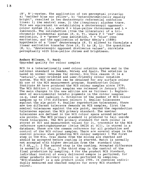(B', R')-system. The application of two perceptual criteria: a) "neither blue nor yellow", b) "heterochromatically equally bright", resulted in two deuteranopic referential confusion lines: 1) the neutral zone, 2) the (imaginary) alychne trace. This was equivalent to establishing a deuteranopic opponentcolour system  $(K,L)$ , where  $K = blue$ -yellow chrominance and  $L =$ luminance. The introduction (from the literature) of a trichromatic fundamental system  $(P, D, T)$ , where  $P = "red"$  cone excitation,  $D = "green"$  cone excitation,  $T = "blue"$  cone excitation, and the application of Arthur König's (1886) hypothesis of a "loss" deuteranopia (P, T) allowed to formulate a linear excitation transfer from  $(P, T)$  to  $(K, L)$ . The quantities (K, L), "deuteranopic opponent distimulus values", correlate perceptually with blue-yellow chroma and brightness.

# Anders Nilsson, T. Hard: Upgraded quality for colour samples

NCS is a internationally used colour notation system and is the national standard in Sweden, Norway and Spain. The notation is based on normal language for colour, bis this reason it is a "natural", user-oriented and user-friendly colour notation system. The NCS notation can be obtained for any surface colour by use of the NCS measurement program. Scandinavian Colour Institute AB have produced the NCS colour samples since 1979. The NCS Edition 2 colour samples was released in January 1995. The main changes in the new edition are as follows: 1. Replacement of environmental harmful pigments in the colour samples (e.g. lead and cadmium) 2. Extension of the number of NCS colour samples up to 1750 different colours 3. Smaller tolerances against the aim point 4. Smaller reproduction tolerances. There are two different tolerance demands on NCS samples, first the nominal tolerances against the aim point, second the reproduction tolerances against the NCS primary standard. The nominal tolerances are defined in the NCS colour space around selected aim points. The NCS primary standard is produced to fall inside these tolerances. The NCS primary standard for each colour is stored at SCI and measurement values for it, traceable to the NCS reference spectrophotometer (Zeiss DMC26 at SCI), is stored in a database. These are the common reference for all production and control of the NCS colour samples. There are several steps in the control process when producing NCS colour samples: 1 The first step is the Mix. Draw downs from the mixing are checked and should be accepted before coating is started. Match is normally not accepted with higher deviation from the standard than 0.3  $\Delta E_{CMC}$ 2. 2 The second step is the coating. Accepted difference is normally 0.5  $\Delta E_{CMC}$  3 The third step is the control of the final production by sampling. 4 For the product NCS Standard, individual control of every delivered sample is performed, for other products delivery control is performed by sampling. "NCS-standard" is a new product since 1995. It contains individually measured and checked samples for every NCS standard colour.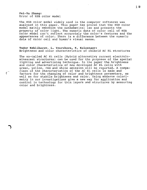**Pei-Yu Zhang:**  Error of HSB color model

The HSB color model widely used in the computer softwares was analysed in this paper. This paper has proved that the HSB color model mainly embodies the mathematical law and presents the property of color light. The numeric data of color cell of HSB color model can't reflect accurately the color's features and the appearances of color. There is a difference between the numeric data of color cell and human's visual sense.

**Todor Kehlibarov, L. Yourukova, K. Kolentaov:**  Brightness and color characteristics of chibrid AC EL structures

The so-called AC EL cells (Hybrid alternativy current electroluminescent structures) can be used for the purposes of the special lighting and advertising technique. In the paper the brightness and color characteristics of new developed AC EL cells with green, yellow, red and white emission will be reported. A comparison of the characteristics of the AC EL cells is made and *(* factors for the changing of color and brightness parameters, as well as for stabile brightness and color. Using moderne colorimetry in our investigations give a new way for application and control in technology for thin layers and structures by measuring color and brightness.